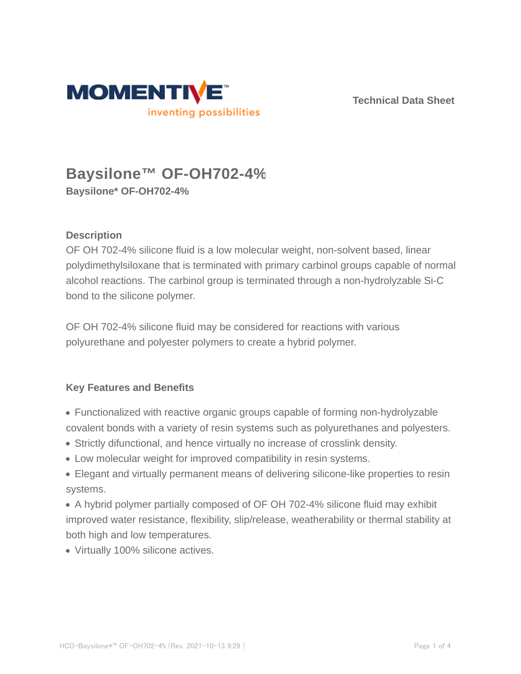

**Technical Data Sheet**

# **Baysilone™ OF-OH702-4% Baysilone\* OF-OH702-4%**

### **Description**

OF OH 702-4% silicone fluid is a low molecular weight, non-solvent based, linear polydimethylsiloxane that is terminated with primary carbinol groups capable of normal alcohol reactions. The carbinol group is terminated through a non-hydrolyzable Si-C bond to the silicone polymer.

OF OH 702-4% silicone fluid may be considered for reactions with various polyurethane and polyester polymers to create a hybrid polymer.

### **Key Features and Benefits**

- Functionalized with reactive organic groups capable of forming non-hydrolyzable covalent bonds with a variety of resin systems such as polyurethanes and polyesters.
- Strictly difunctional, and hence virtually no increase of crosslink density.
- Low molecular weight for improved compatibility in resin systems.
- Elegant and virtually permanent means of delivering silicone-like properties to resin systems.

A hybrid polymer partially composed of OF OH 702-4% silicone fluid may exhibit improved water resistance, flexibility, slip/release, weatherability or thermal stability at both high and low temperatures.

Virtually 100% silicone actives.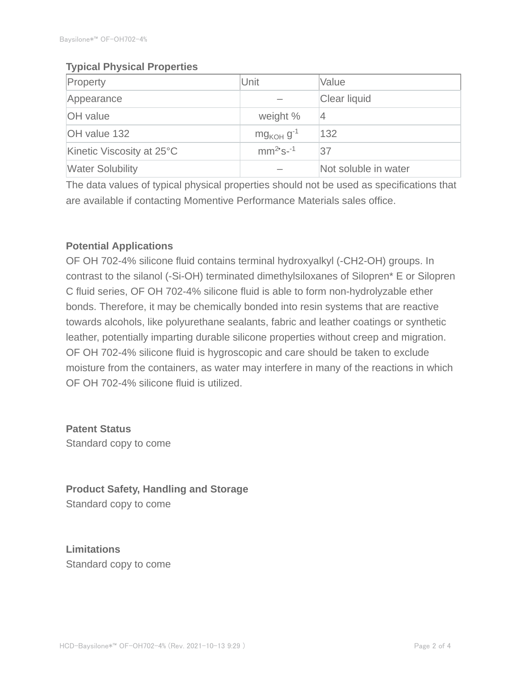#### **Typical Physical Properties**

| Property                  | Unit                       | Value                |  |
|---------------------------|----------------------------|----------------------|--|
| Appearance                |                            | Clear liquid         |  |
| <b>OH</b> value           | weight %                   | $\overline{4}$       |  |
| OH value 132              | $mg_{KOH}$ g <sup>-1</sup> | 132                  |  |
| Kinetic Viscosity at 25°C | $mm^{2}$ s-1               | 37                   |  |
| <b>Water Solubility</b>   |                            | Not soluble in water |  |

The data values of typical physical properties should not be used as specifications that are available if contacting Momentive Performance Materials sales office.

### **Potential Applications**

OF OH 702-4% silicone fluid contains terminal hydroxyalkyl (-CH2-OH) groups. In contrast to the silanol (-Si-OH) terminated dimethylsiloxanes of Silopren\* E or Silopren C fluid series, OF OH 702-4% silicone fluid is able to form non-hydrolyzable ether bonds. Therefore, it may be chemically bonded into resin systems that are reactive towards alcohols, like polyurethane sealants, fabric and leather coatings or synthetic leather, potentially imparting durable silicone properties without creep and migration. OF OH 702-4% silicone fluid is hygroscopic and care should be taken to exclude moisture from the containers, as water may interfere in many of the reactions in which OF OH 702-4% silicone fluid is utilized.

**Patent Status** Standard copy to come

**Product Safety, Handling and Storage** Standard copy to come

**Limitations** Standard copy to come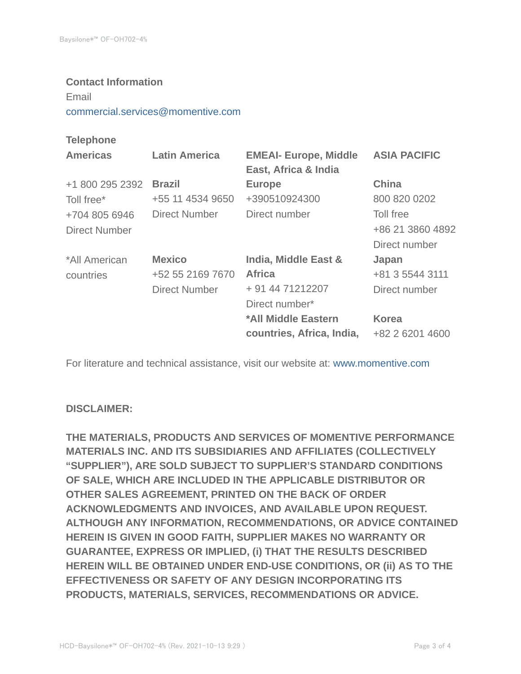#### **Contact Information**

Email

commercial.services@momentive.com

#### **Telephone**

| <b>Americas</b> | <b>Latin America</b> | <b>EMEAI- Europe, Middle</b><br>East, Africa & India | <b>ASIA PACIFIC</b> |
|-----------------|----------------------|------------------------------------------------------|---------------------|
| +1 800 295 2392 | <b>Brazil</b>        | <b>Europe</b>                                        | <b>China</b>        |
| Toll free*      | +55 11 4534 9650     | +390510924300                                        | 800 820 0202        |
| +704 805 6946   | Direct Number        | Direct number                                        | Toll free           |
| Direct Number   |                      |                                                      | +86 21 3860 4892    |
|                 |                      |                                                      | Direct number       |
| *All American   | <b>Mexico</b>        | India, Middle East &                                 | Japan               |
| countries       | +52 55 2169 7670     | <b>Africa</b>                                        | +81 3 5544 3111     |
|                 | <b>Direct Number</b> | + 91 44 71212207                                     | Direct number       |
|                 |                      | Direct number*                                       |                     |
|                 |                      | *All Middle Eastern                                  | <b>Korea</b>        |
|                 |                      | countries, Africa, India,                            | +82 2 6201 4600     |

For literature and technical assistance, visit our website at: www.momentive.com

#### **DISCLAIMER:**

**THE MATERIALS, PRODUCTS AND SERVICES OF MOMENTIVE PERFORMANCE MATERIALS INC. AND ITS SUBSIDIARIES AND AFFILIATES (COLLECTIVELY "SUPPLIER"), ARE SOLD SUBJECT TO SUPPLIER'S STANDARD CONDITIONS OF SALE, WHICH ARE INCLUDED IN THE APPLICABLE DISTRIBUTOR OR OTHER SALES AGREEMENT, PRINTED ON THE BACK OF ORDER ACKNOWLEDGMENTS AND INVOICES, AND AVAILABLE UPON REQUEST. ALTHOUGH ANY INFORMATION, RECOMMENDATIONS, OR ADVICE CONTAINED HEREIN IS GIVEN IN GOOD FAITH, SUPPLIER MAKES NO WARRANTY OR GUARANTEE, EXPRESS OR IMPLIED, (i) THAT THE RESULTS DESCRIBED HEREIN WILL BE OBTAINED UNDER END-USE CONDITIONS, OR (ii) AS TO THE EFFECTIVENESS OR SAFETY OF ANY DESIGN INCORPORATING ITS PRODUCTS, MATERIALS, SERVICES, RECOMMENDATIONS OR ADVICE.**